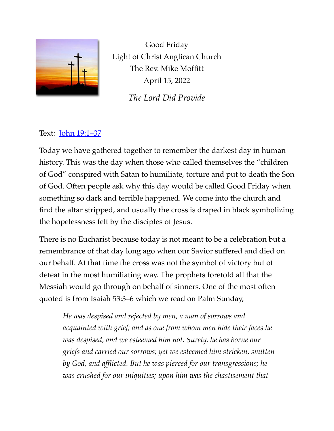

Good Friday Light of Christ Anglican Church The Rev. Mike Moffitt April 15, 2022

*The Lord Did Provide*

## Text: [John 19:1–37](https://www.biblegateway.com/passage/?search=John+19:1%E2%80%9337&version=ESV)

Today we have gathered together to remember the darkest day in human history. This was the day when those who called themselves the "children of God" conspired with Satan to humiliate, torture and put to death the Son of God. Often people ask why this day would be called Good Friday when something so dark and terrible happened. We come into the church and find the altar stripped, and usually the cross is draped in black symbolizing the hopelessness felt by the disciples of Jesus.

There is no Eucharist because today is not meant to be a celebration but a remembrance of that day long ago when our Savior suffered and died on our behalf. At that time the cross was not the symbol of victory but of defeat in the most humiliating way. The prophets foretold all that the Messiah would go through on behalf of sinners. One of the most often quoted is from Isaiah 53:3–6 which we read on Palm Sunday,

*He was despised and rejected by men, a man of sorrows and acquainted with grief; and as one from whom men hide their faces he was despised, and we esteemed him not. Surely, he has borne our griefs and carried our sorrows; yet we esteemed him stricken, smitten by God, and afflicted. But he was pierced for our transgressions; he was crushed for our iniquities; upon him was the chastisement that*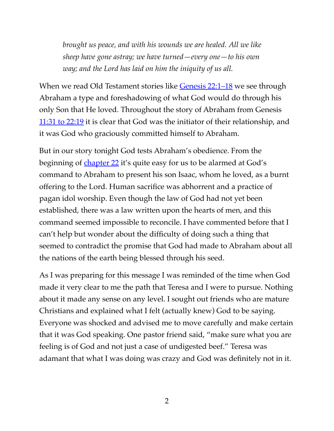*brought us peace, and with his wounds we are healed. All we like sheep have gone astray; we have turned—every one—to his own way; and the Lord has laid on him the iniquity of us all.*

When we read Old Testament stories like [Genesis 22:1–18](https://www.biblegateway.com/passage/?search=Genesis+22:1%E2%80%9318&version=ESV) we see through Abraham a type and foreshadowing of what God would do through his only Son that He loved. Throughout the story of Abraham from Genesis [11:31 to 22:19](https://www.biblegateway.com/passage/?search=Genesis+11:31%E2%80%9322:19&version=ESV) it is clear that God was the initiator of their relationship, and it was God who graciously committed himself to Abraham.

But in our story tonight God tests Abraham's obedience. From the beginning of [chapter 22](https://www.biblegateway.com/passage/?search=Genesis+22&version=ESV) it's quite easy for us to be alarmed at God's command to Abraham to present his son Isaac, whom he loved, as a burnt offering to the Lord. Human sacrifice was abhorrent and a practice of pagan idol worship. Even though the law of God had not yet been established, there was a law written upon the hearts of men, and this command seemed impossible to reconcile. I have commented before that I can't help but wonder about the difficulty of doing such a thing that seemed to contradict the promise that God had made to Abraham about all the nations of the earth being blessed through his seed.

As I was preparing for this message I was reminded of the time when God made it very clear to me the path that Teresa and I were to pursue. Nothing about it made any sense on any level. I sought out friends who are mature Christians and explained what I felt (actually knew) God to be saying. Everyone was shocked and advised me to move carefully and make certain that it was God speaking. One pastor friend said, "make sure what you are feeling is of God and not just a case of undigested beef." Teresa was adamant that what I was doing was crazy and God was definitely not in it.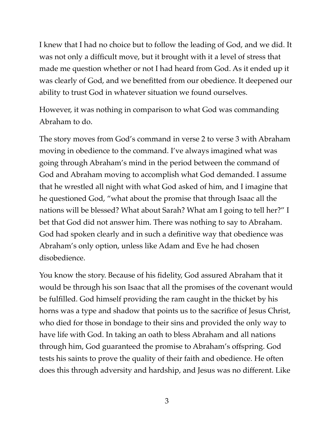I knew that I had no choice but to follow the leading of God, and we did. It was not only a difficult move, but it brought with it a level of stress that made me question whether or not I had heard from God. As it ended up it was clearly of God, and we benefitted from our obedience. It deepened our ability to trust God in whatever situation we found ourselves.

However, it was nothing in comparison to what God was commanding Abraham to do.

The story moves from God's command in verse 2 to verse 3 with Abraham moving in obedience to the command. I've always imagined what was going through Abraham's mind in the period between the command of God and Abraham moving to accomplish what God demanded. I assume that he wrestled all night with what God asked of him, and I imagine that he questioned God, "what about the promise that through Isaac all the nations will be blessed? What about Sarah? What am I going to tell her?" I bet that God did not answer him. There was nothing to say to Abraham. God had spoken clearly and in such a definitive way that obedience was Abraham's only option, unless like Adam and Eve he had chosen disobedience.

You know the story. Because of his fidelity, God assured Abraham that it would be through his son Isaac that all the promises of the covenant would be fulfilled. God himself providing the ram caught in the thicket by his horns was a type and shadow that points us to the sacrifice of Jesus Christ, who died for those in bondage to their sins and provided the only way to have life with God. In taking an oath to bless Abraham and all nations through him, God guaranteed the promise to Abraham's offspring. God tests his saints to prove the quality of their faith and obedience. He often does this through adversity and hardship, and Jesus was no different. Like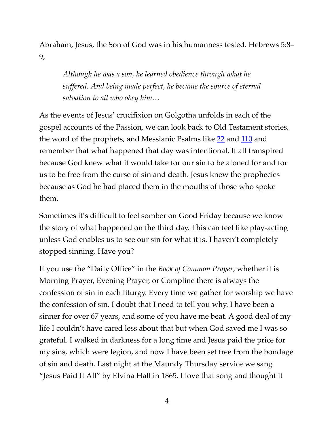Abraham, Jesus, the Son of God was in his humanness tested. Hebrews 5:8– 9,

*Although he was a son, he learned obedience through what he suffered. And being made perfect, he became the source of eternal salvation to all who obey him…*

As the events of Jesus' crucifixion on Golgotha unfolds in each of the gospel accounts of the Passion, we can look back to Old Testament stories, the word of the prophets, and Messianic Psalms like [22](https://www.biblegateway.com/passage/?search=Psalm+22&version=ESV) and [110](https://www.biblegateway.com/passage/?search=Psalm+110&version=ESV) and remember that what happened that day was intentional. It all transpired because God knew what it would take for our sin to be atoned for and for us to be free from the curse of sin and death. Jesus knew the prophecies because as God he had placed them in the mouths of those who spoke them.

Sometimes it's difficult to feel somber on Good Friday because we know the story of what happened on the third day. This can feel like play-acting unless God enables us to see our sin for what it is. I haven't completely stopped sinning. Have you?

If you use the "Daily Office" in the *Book of Common Prayer*, whether it is Morning Prayer, Evening Prayer, or Compline there is always the confession of sin in each liturgy. Every time we gather for worship we have the confession of sin. I doubt that I need to tell you why. I have been a sinner for over 67 years, and some of you have me beat. A good deal of my life I couldn't have cared less about that but when God saved me I was so grateful. I walked in darkness for a long time and Jesus paid the price for my sins, which were legion, and now I have been set free from the bondage of sin and death. Last night at the Maundy Thursday service we sang "Jesus Paid It All" by Elvina Hall in 1865. I love that song and thought it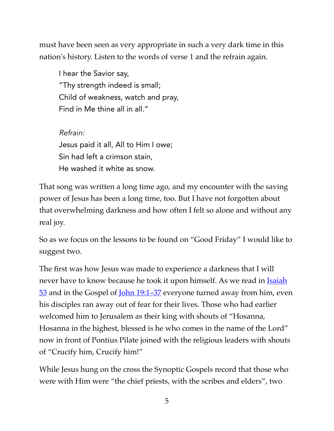must have been seen as very appropriate in such a very dark time in this nation's history. Listen to the words of verse 1 and the refrain again.

I hear the Savior say, "Thy strength indeed is small; Child of weakness, watch and pray, Find in Me thine all in all."

*Refrain:*  Jesus paid it all, All to Him I owe; Sin had left a crimson stain, He washed it white as snow.

That song was written a long time ago, and my encounter with the saving power of Jesus has been a long time, too. But I have not forgotten about that overwhelming darkness and how often I felt so alone and without any real joy.

So as we focus on the lessons to be found on "Good Friday" I would like to suggest two.

The first was how Jesus was made to experience a darkness that I will never have to know because he took it upon himself. As we read in **Isaiah**  $53$  and in the Gospel of <u>John 19:1–37</u> everyone turned away from him, even his disciples ran away out of fear for their lives. Those who had earlier welcomed him to Jerusalem as their king with shouts of "Hosanna, Hosanna in the highest, blessed is he who comes in the name of the Lord" now in front of Pontius Pilate joined with the religious leaders with shouts of "Crucify him, Crucify him!"

While Jesus hung on the cross the Synoptic Gospels record that those who were with Him were "the chief priests, with the scribes and elders", two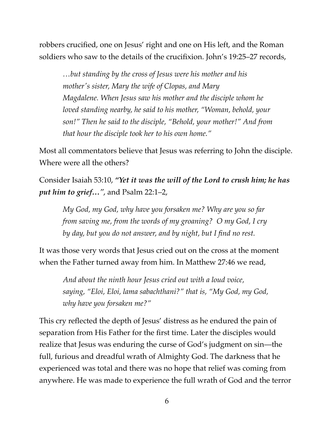robbers crucified, one on Jesus' right and one on His left, and the Roman soldiers who saw to the details of the crucifixion. John's 19:25–27 records,

*…but standing by the cross of Jesus were his mother and his mother's sister, Mary the wife of Clopas, and Mary Magdalene. When Jesus saw his mother and the disciple whom he loved standing nearby, he said to his mother, "Woman, behold, your son!" Then he said to the disciple, "Behold, your mother!" And from that hour the disciple took her to his own home."* 

Most all commentators believe that Jesus was referring to John the disciple. Where were all the others?

Consider Isaiah 53:10, *"Yet it was the will of the Lord to crush him; he has put him to grief…"*, and Psalm 22:1–2,

*My God, my God, why have you forsaken me? Why are you so far from saving me, from the words of my groaning? O my God, I cry by day, but you do not answer, and by night, but I find no rest.*

It was those very words that Jesus cried out on the cross at the moment when the Father turned away from him. In Matthew 27:46 we read,

*And about the ninth hour Jesus cried out with a loud voice, saying, "Eloi, Eloi, lama sabachthani?" that is, "My God, my God, why have you forsaken me?"*

This cry reflected the depth of Jesus' distress as he endured the pain of separation from His Father for the first time. Later the disciples would realize that Jesus was enduring the curse of God's judgment on sin—the full, furious and dreadful wrath of Almighty God. The darkness that he experienced was total and there was no hope that relief was coming from anywhere. He was made to experience the full wrath of God and the terror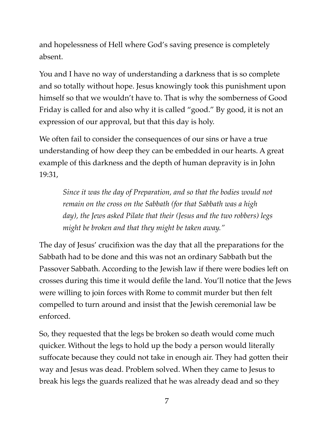and hopelessness of Hell where God's saving presence is completely absent.

You and I have no way of understanding a darkness that is so complete and so totally without hope. Jesus knowingly took this punishment upon himself so that we wouldn't have to. That is why the somberness of Good Friday is called for and also why it is called "good." By good, it is not an expression of our approval, but that this day is holy.

We often fail to consider the consequences of our sins or have a true understanding of how deep they can be embedded in our hearts. A great example of this darkness and the depth of human depravity is in John 19:31,

*Since it was the day of Preparation, and so that the bodies would not remain on the cross on the Sabbath (for that Sabbath was a high day), the Jews asked Pilate that their (Jesus and the two robbers) legs might be broken and that they might be taken away."*

The day of Jesus' crucifixion was the day that all the preparations for the Sabbath had to be done and this was not an ordinary Sabbath but the Passover Sabbath. According to the Jewish law if there were bodies left on crosses during this time it would defile the land. You'll notice that the Jews were willing to join forces with Rome to commit murder but then felt compelled to turn around and insist that the Jewish ceremonial law be enforced.

So, they requested that the legs be broken so death would come much quicker. Without the legs to hold up the body a person would literally suffocate because they could not take in enough air. They had gotten their way and Jesus was dead. Problem solved. When they came to Jesus to break his legs the guards realized that he was already dead and so they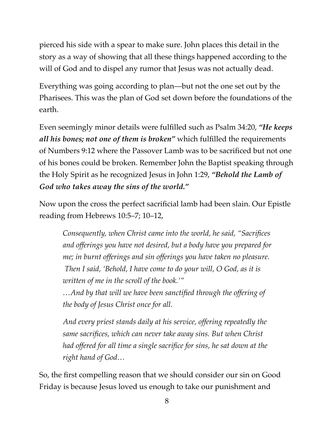pierced his side with a spear to make sure. John places this detail in the story as a way of showing that all these things happened according to the will of God and to dispel any rumor that Jesus was not actually dead.

Everything was going according to plan—but not the one set out by the Pharisees. This was the plan of God set down before the foundations of the earth.

Even seemingly minor details were fulfilled such as Psalm 34:20, *"He keeps all his bones; not one of them is broken"* which fulfilled the requirements of Numbers 9:12 where the Passover Lamb was to be sacrificed but not one of his bones could be broken. Remember John the Baptist speaking through the Holy Spirit as he recognized Jesus in John 1:29, *"Behold the Lamb of God who takes away the sins of the world."*

Now upon the cross the perfect sacrificial lamb had been slain. Our Epistle reading from Hebrews 10:5–7; 10–12,

*Consequently, when Christ came into the world, he said, "Sacrifices and offerings you have not desired, but a body have you prepared for me; in burnt offerings and sin offerings you have taken no pleasure. Then I said, 'Behold, I have come to do your will, O God, as it is written of me in the scroll of the book.'" …And by that will we have been sanctified through the offering of the body of Jesus Christ once for all.*

*And every priest stands daily at his service, offering repeatedly the same sacrifices, which can never take away sins. But when Christ had offered for all time a single sacrifice for sins, he sat down at the right hand of God…*

So, the first compelling reason that we should consider our sin on Good Friday is because Jesus loved us enough to take our punishment and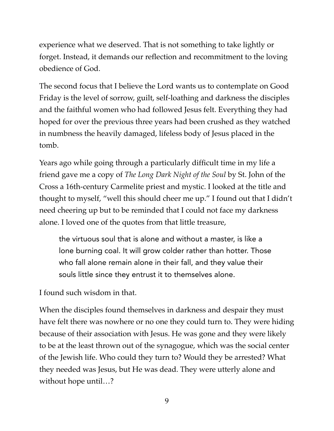experience what we deserved. That is not something to take lightly or forget. Instead, it demands our reflection and recommitment to the loving obedience of God.

The second focus that I believe the Lord wants us to contemplate on Good Friday is the level of sorrow, guilt, self-loathing and darkness the disciples and the faithful women who had followed Jesus felt. Everything they had hoped for over the previous three years had been crushed as they watched in numbness the heavily damaged, lifeless body of Jesus placed in the tomb.

Years ago while going through a particularly difficult time in my life a friend gave me a copy of *The Long Dark Night of the Soul* by St. John of the Cross a 16th-century Carmelite priest and mystic. I looked at the title and thought to myself, "well this should cheer me up." I found out that I didn't need cheering up but to be reminded that I could not face my darkness alone. I loved one of the quotes from that little treasure,

the virtuous soul that is alone and without a master, is like a lone burning coal. It will grow colder rather than hotter. Those who fall alone remain alone in their fall, and they value their souls little since they entrust it to themselves alone.

I found such wisdom in that.

When the disciples found themselves in darkness and despair they must have felt there was nowhere or no one they could turn to. They were hiding because of their association with Jesus. He was gone and they were likely to be at the least thrown out of the synagogue, which was the social center of the Jewish life. Who could they turn to? Would they be arrested? What they needed was Jesus, but He was dead. They were utterly alone and without hope until…?